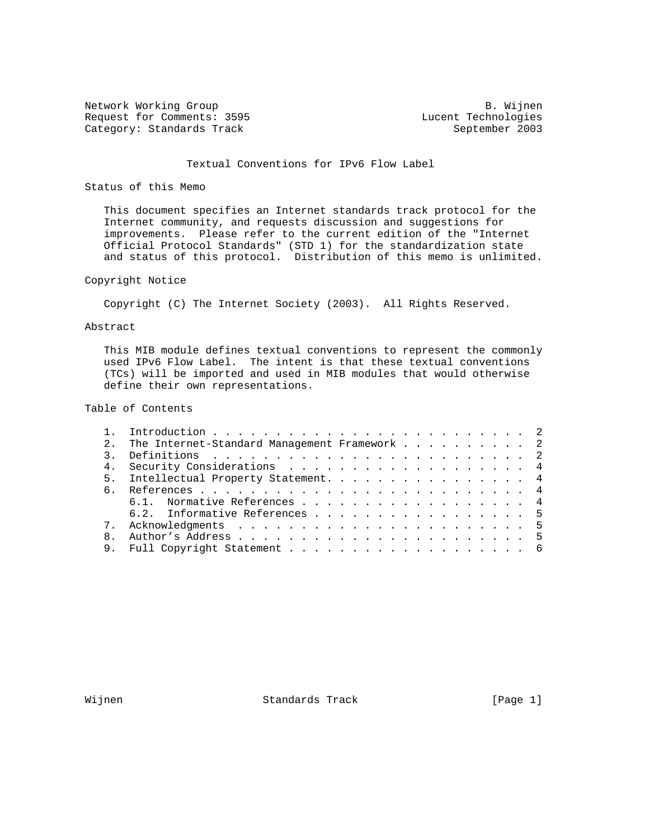Network Working Group and B. Wijnen Request for Comments: 3595 Lucent Technologies<br>
Category: Standards Track Category: Standards Track Category: Standards Track

# Textual Conventions for IPv6 Flow Label

# Status of this Memo

 This document specifies an Internet standards track protocol for the Internet community, and requests discussion and suggestions for improvements. Please refer to the current edition of the "Internet Official Protocol Standards" (STD 1) for the standardization state and status of this protocol. Distribution of this memo is unlimited.

# Copyright Notice

Copyright (C) The Internet Society (2003). All Rights Reserved.

### Abstract

 This MIB module defines textual conventions to represent the commonly used IPv6 Flow Label. The intent is that these textual conventions (TCs) will be imported and used in MIB modules that would otherwise define their own representations.

# Table of Contents

|     | 2. The Internet-Standard Management Framework 2 |  |
|-----|-------------------------------------------------|--|
|     |                                                 |  |
|     | 4. Security Considerations 4                    |  |
|     | 5. Intellectual Property Statement. 4           |  |
| რ — |                                                 |  |
|     | 6.1. Normative References 4                     |  |
|     | 6.2. Informative References 5                   |  |
|     |                                                 |  |
| 8   |                                                 |  |
|     |                                                 |  |
|     |                                                 |  |

Wijnen 1988 Standards Track 1988 (Page 1)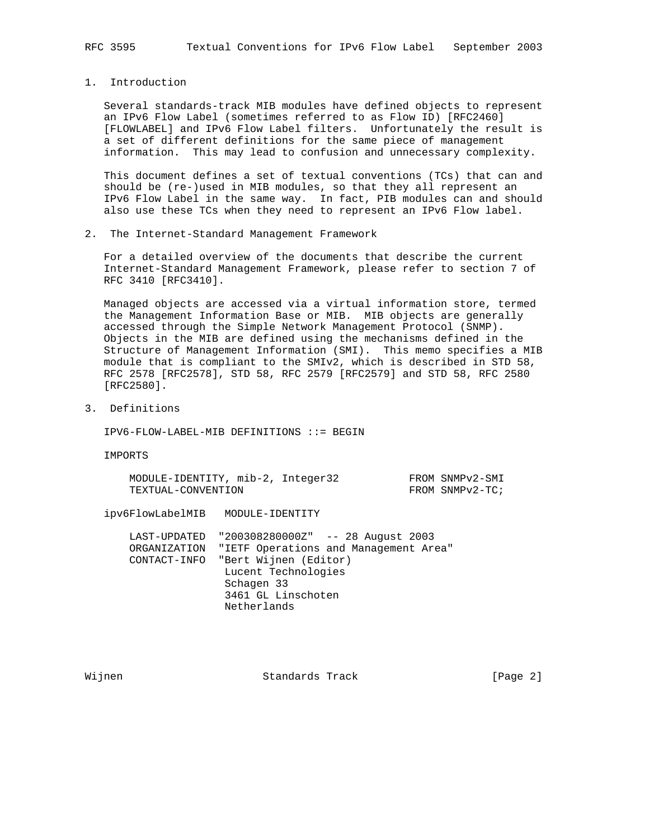1. Introduction

 Several standards-track MIB modules have defined objects to represent an IPv6 Flow Label (sometimes referred to as Flow ID) [RFC2460] [FLOWLABEL] and IPv6 Flow Label filters. Unfortunately the result is a set of different definitions for the same piece of management information. This may lead to confusion and unnecessary complexity.

 This document defines a set of textual conventions (TCs) that can and should be (re-)used in MIB modules, so that they all represent an IPv6 Flow Label in the same way. In fact, PIB modules can and should also use these TCs when they need to represent an IPv6 Flow label.

2. The Internet-Standard Management Framework

 For a detailed overview of the documents that describe the current Internet-Standard Management Framework, please refer to section 7 of RFC 3410 [RFC3410].

 Managed objects are accessed via a virtual information store, termed the Management Information Base or MIB. MIB objects are generally accessed through the Simple Network Management Protocol (SNMP). Objects in the MIB are defined using the mechanisms defined in the Structure of Management Information (SMI). This memo specifies a MIB module that is compliant to the SMIv2, which is described in STD 58, RFC 2578 [RFC2578], STD 58, RFC 2579 [RFC2579] and STD 58, RFC 2580 [RFC2580].

3. Definitions

IPV6-FLOW-LABEL-MIB DEFINITIONS ::= BEGIN

IMPORTS

MODULE-IDENTITY, mib-2, Integer32 FROM SNMPv2-SMI TEXTUAL-CONVENTION FROM SNMPv2-TC;

ipv6FlowLabelMIB MODULE-IDENTITY

 LAST-UPDATED "200308280000Z" -- 28 August 2003 ORGANIZATION "IETF Operations and Management Area" CONTACT-INFO "Bert Wijnen (Editor) Lucent Technologies Schagen 33 3461 GL Linschoten Netherlands

Wijnen 1986 Standards Track 1986 (Page 2)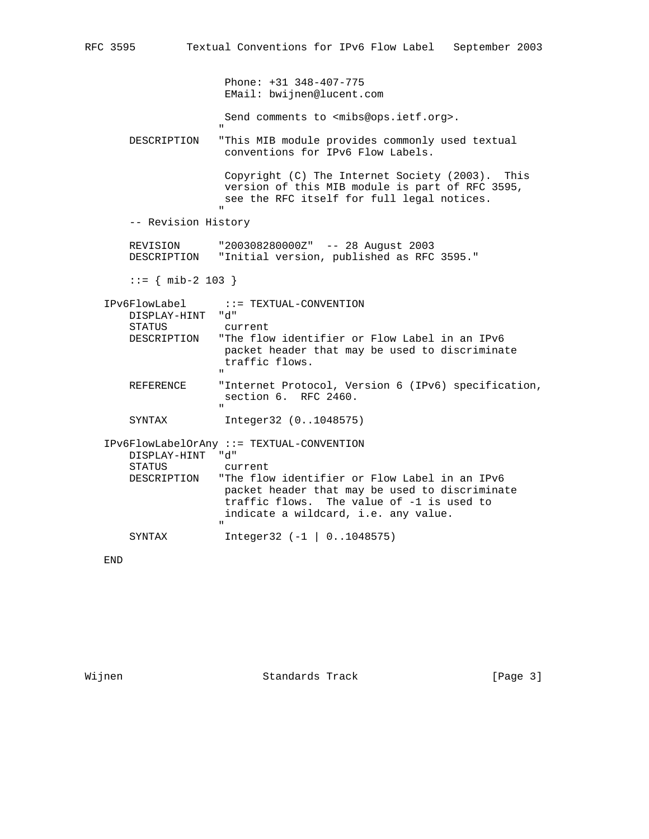Phone: +31 348-407-775 EMail: bwijnen@lucent.com

Send comments to <mibs@ops.ietf.org>.

 DESCRIPTION "This MIB module provides commonly used textual conventions for IPv6 Flow Labels.

 Copyright (C) The Internet Society (2003). This version of this MIB module is part of RFC 3595, see the RFC itself for full legal notices. "

-- Revision History

"

 REVISION "200308280000Z" -- 28 August 2003 DESCRIPTION "Initial version, published as RFC 3595."

::= { mib-2 103 }

| IPv6FlowLabel              | ::= TEXTUAL-CONVENTION:                                                                                                                                                                                         |
|----------------------------|-----------------------------------------------------------------------------------------------------------------------------------------------------------------------------------------------------------------|
| DISPLAY-HINT "d"<br>STATUS | current                                                                                                                                                                                                         |
| DESCRIPTION                | "The flow identifier or Flow Label in an IPv6<br>packet header that may be used to discriminate<br>traffic flows.<br>$\mathbf{H}$                                                                               |
| REFERENCE                  | "Internet Protocol, Version 6 (IPv6) specification,<br>$section 6.$ RFC $2460.$<br>$\mathbf{u}$                                                                                                                 |
| SYNTAX                     | Integer32 (01048575)                                                                                                                                                                                            |
| DISPLAY-HINT<br>STATUS     | IPv6FlowLabelOrAny ::= TEXTUAL-CONVENTION<br>"d"<br>current                                                                                                                                                     |
|                            | DESCRIPTION The flow identifier or Flow Label in an IPv6<br>packet header that may be used to discriminate<br>traffic flows. The value of -1 is used to<br>indicate a wildcard, i.e. any value.<br>$\mathbf{H}$ |
| SYNTAX                     | $Integers 32 (-1   01048575)$                                                                                                                                                                                   |

END

Wijnen 1986 Standards Track 1986 (Page 3)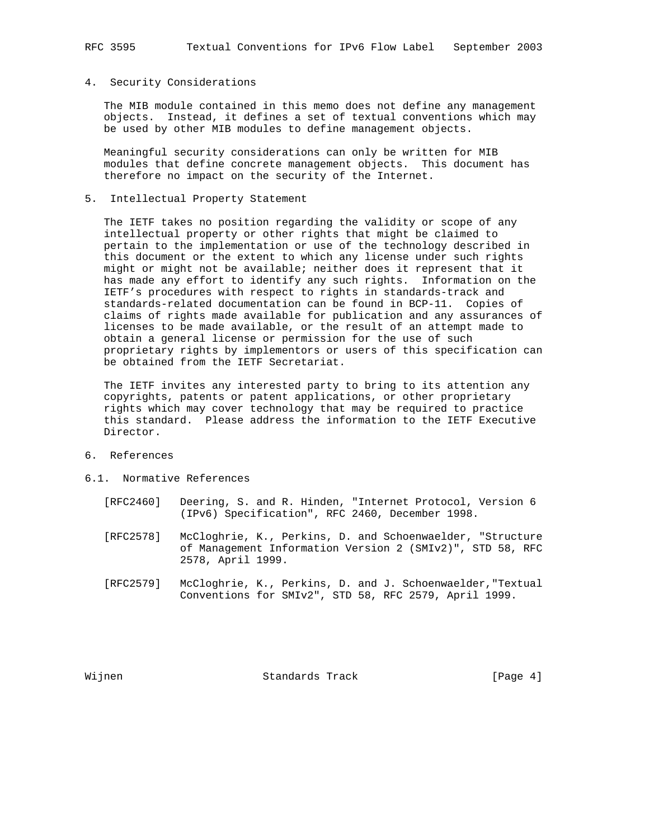#### 4. Security Considerations

 The MIB module contained in this memo does not define any management objects. Instead, it defines a set of textual conventions which may be used by other MIB modules to define management objects.

 Meaningful security considerations can only be written for MIB modules that define concrete management objects. This document has therefore no impact on the security of the Internet.

5. Intellectual Property Statement

 The IETF takes no position regarding the validity or scope of any intellectual property or other rights that might be claimed to pertain to the implementation or use of the technology described in this document or the extent to which any license under such rights might or might not be available; neither does it represent that it has made any effort to identify any such rights. Information on the IETF's procedures with respect to rights in standards-track and standards-related documentation can be found in BCP-11. Copies of claims of rights made available for publication and any assurances of licenses to be made available, or the result of an attempt made to obtain a general license or permission for the use of such proprietary rights by implementors or users of this specification can be obtained from the IETF Secretariat.

 The IETF invites any interested party to bring to its attention any copyrights, patents or patent applications, or other proprietary rights which may cover technology that may be required to practice this standard. Please address the information to the IETF Executive Director.

- 6. References
- 6.1. Normative References
	- [RFC2460] Deering, S. and R. Hinden, "Internet Protocol, Version 6 (IPv6) Specification", RFC 2460, December 1998.
	- [RFC2578] McCloghrie, K., Perkins, D. and Schoenwaelder, "Structure of Management Information Version 2 (SMIv2)", STD 58, RFC 2578, April 1999.
	- [RFC2579] McCloghrie, K., Perkins, D. and J. Schoenwaelder,"Textual Conventions for SMIv2", STD 58, RFC 2579, April 1999.

Wijnen 1986 Standards Track 1986 (Page 4)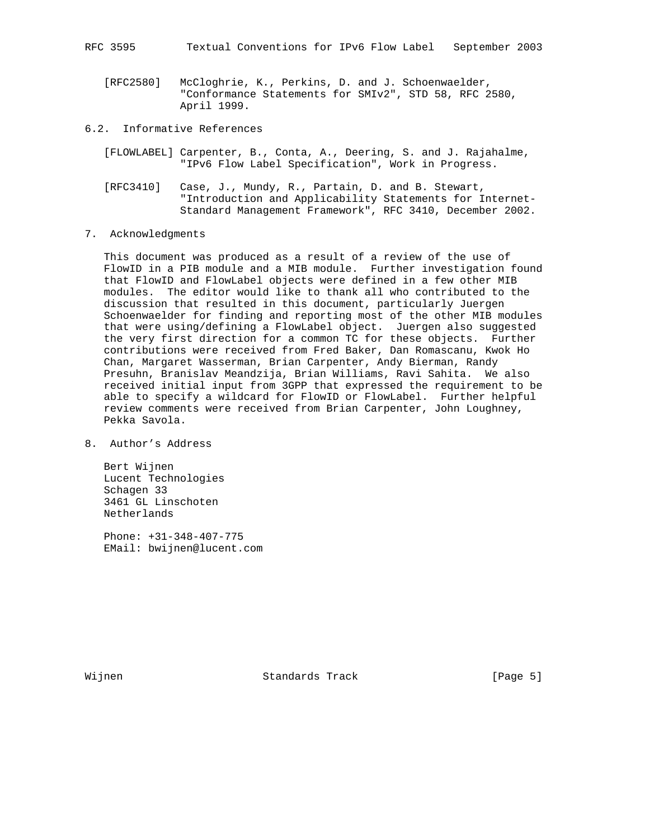[RFC2580] McCloghrie, K., Perkins, D. and J. Schoenwaelder, "Conformance Statements for SMIv2", STD 58, RFC 2580, April 1999.

6.2. Informative References

- [FLOWLABEL] Carpenter, B., Conta, A., Deering, S. and J. Rajahalme, "IPv6 Flow Label Specification", Work in Progress.
- [RFC3410] Case, J., Mundy, R., Partain, D. and B. Stewart, "Introduction and Applicability Statements for Internet- Standard Management Framework", RFC 3410, December 2002.
- 7. Acknowledgments

 This document was produced as a result of a review of the use of FlowID in a PIB module and a MIB module. Further investigation found that FlowID and FlowLabel objects were defined in a few other MIB modules. The editor would like to thank all who contributed to the discussion that resulted in this document, particularly Juergen Schoenwaelder for finding and reporting most of the other MIB modules that were using/defining a FlowLabel object. Juergen also suggested the very first direction for a common TC for these objects. Further contributions were received from Fred Baker, Dan Romascanu, Kwok Ho Chan, Margaret Wasserman, Brian Carpenter, Andy Bierman, Randy Presuhn, Branislav Meandzija, Brian Williams, Ravi Sahita. We also received initial input from 3GPP that expressed the requirement to be able to specify a wildcard for FlowID or FlowLabel. Further helpful review comments were received from Brian Carpenter, John Loughney, Pekka Savola.

8. Author's Address

 Bert Wijnen Lucent Technologies Schagen 33 3461 GL Linschoten Netherlands

 Phone: +31-348-407-775 EMail: bwijnen@lucent.com

Wijnen 1986 Standards Track 1986 (Page 5)